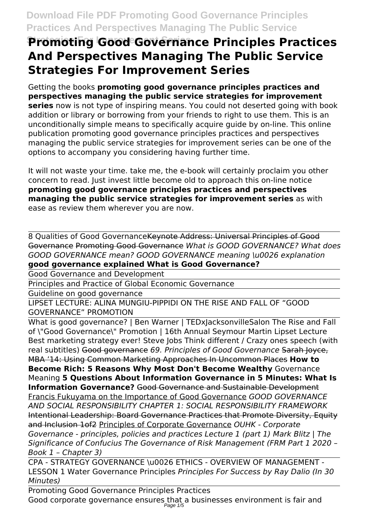# **Promoting Good Governance Principles Practices And Perspectives Managing The Public Service Strategies For Improvement Series**

Getting the books **promoting good governance principles practices and perspectives managing the public service strategies for improvement series** now is not type of inspiring means. You could not deserted going with book addition or library or borrowing from your friends to right to use them. This is an unconditionally simple means to specifically acquire guide by on-line. This online publication promoting good governance principles practices and perspectives managing the public service strategies for improvement series can be one of the options to accompany you considering having further time.

It will not waste your time. take me, the e-book will certainly proclaim you other concern to read. Just invest little become old to approach this on-line notice **promoting good governance principles practices and perspectives managing the public service strategies for improvement series** as with ease as review them wherever you are now.

8 Qualities of Good GovernanceKeynote Address: Universal Principles of Good Governance Promoting Good Governance *What is GOOD GOVERNANCE? What does GOOD GOVERNANCE mean? GOOD GOVERNANCE meaning \u0026 explanation* **good governance explained What is Good Governance?**

Good Governance and Development

Principles and Practice of Global Economic Governance

Guideline on good governance

LIPSET LECTURE: ALINA MUNGIU-PIPPIDI ON THE RISE AND FALL OF "GOOD GOVERNANCE" PROMOTION

What is good governance? | Ben Warner | TEDxJacksonvilleSalon The Rise and Fall of \"Good Governance\" Promotion | 16th Annual Seymour Martin Lipset Lecture Best marketing strategy ever! Steve Jobs Think different / Crazy ones speech (with real subtitles) Good governance *69. Principles of Good Governance* Sarah Joyce, MBA '14: Using Common Marketing Approaches In Uncommon Places **How to Become Rich: 5 Reasons Why Most Don't Become Wealthy** Governance Meaning **5 Questions About Information Governance in 5 Minutes: What Is Information Governance?** Good Governance and Sustainable Development Francis Fukuyama on the Importance of Good Governance *GOOD GOVERNANCE AND SOCIAL RESPONSIBILITY CHAPTER 1: SOCIAL RESPONSIBILITY FRAMEWORK* Intentional Leadership: Board Governance Practices that Promote Diversity, Equity and Inclusion 1of2 Principles of Corporate Governance *OUHK - Corporate Governance - principles, policies and practices Lecture 1 (part 1) Mark Blitz | The Significance of Confucius The Governance of Risk Management (FRM Part 1 2020 – Book 1 – Chapter 3)*

CPA - STRATEGY GOVERNANCE \u0026 ETHICS - OVERVIEW OF MANAGEMENT - LESSON 1 Water Governance Principles *Principles For Success by Ray Dalio (In 30 Minutes)*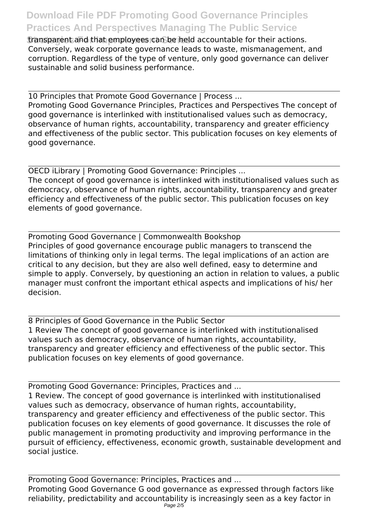*<u>Transparent and that employees can be held accountable for their actions.*</u> Conversely, weak corporate governance leads to waste, mismanagement, and corruption. Regardless of the type of venture, only good governance can deliver sustainable and solid business performance.

10 Principles that Promote Good Governance | Process ... Promoting Good Governance Principles, Practices and Perspectives The concept of good governance is interlinked with institutionalised values such as democracy, observance of human rights, accountability, transparency and greater efficiency and effectiveness of the public sector. This publication focuses on key elements of good governance.

OECD iLibrary | Promoting Good Governance: Principles ... The concept of good governance is interlinked with institutionalised values such as democracy, observance of human rights, accountability, transparency and greater efficiency and effectiveness of the public sector. This publication focuses on key elements of good governance.

Promoting Good Governance | Commonwealth Bookshop Principles of good governance encourage public managers to transcend the limitations of thinking only in legal terms. The legal implications of an action are critical to any decision, but they are also well defined, easy to determine and simple to apply. Conversely, by questioning an action in relation to values, a public manager must confront the important ethical aspects and implications of his/ her decision.

8 Principles of Good Governance in the Public Sector 1 Review The concept of good governance is interlinked with institutionalised values such as democracy, observance of human rights, accountability, transparency and greater efficiency and effectiveness of the public sector. This publication focuses on key elements of good governance.

Promoting Good Governance: Principles, Practices and ... 1 Review. The concept of good governance is interlinked with institutionalised values such as democracy, observance of human rights, accountability, transparency and greater efficiency and effectiveness of the public sector. This publication focuses on key elements of good governance. It discusses the role of public management in promoting productivity and improving performance in the pursuit of efficiency, effectiveness, economic growth, sustainable development and social justice.

Promoting Good Governance: Principles, Practices and ... Promoting Good Governance G ood governance as expressed through factors like reliability, predictability and accountability is increasingly seen as a key factor in Page 2/5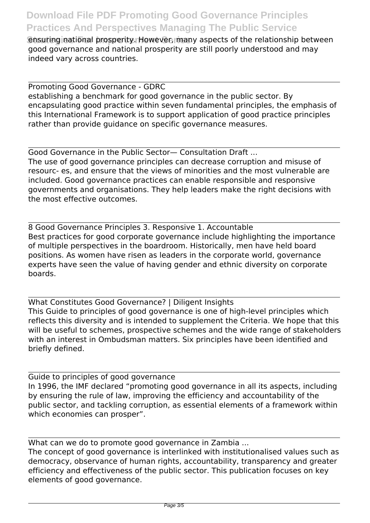*<u>Ensuring national prosperity. However, many aspects of the relationship between*</u> good governance and national prosperity are still poorly understood and may indeed vary across countries.

Promoting Good Governance - GDRC establishing a benchmark for good governance in the public sector. By encapsulating good practice within seven fundamental principles, the emphasis of this International Framework is to support application of good practice principles rather than provide guidance on specific governance measures.

Good Governance in the Public Sector— Consultation Draft ... The use of good governance principles can decrease corruption and misuse of resourc- es, and ensure that the views of minorities and the most vulnerable are included. Good governance practices can enable responsible and responsive governments and organisations. They help leaders make the right decisions with the most effective outcomes.

8 Good Governance Principles 3. Responsive 1. Accountable Best practices for good corporate governance include highlighting the importance of multiple perspectives in the boardroom. Historically, men have held board positions. As women have risen as leaders in the corporate world, governance experts have seen the value of having gender and ethnic diversity on corporate boards.

What Constitutes Good Governance? | Diligent Insights This Guide to principles of good governance is one of high-level principles which reflects this diversity and is intended to supplement the Criteria. We hope that this will be useful to schemes, prospective schemes and the wide range of stakeholders with an interest in Ombudsman matters. Six principles have been identified and briefly defined.

Guide to principles of good governance In 1996, the IMF declared "promoting good governance in all its aspects, including by ensuring the rule of law, improving the efficiency and accountability of the public sector, and tackling corruption, as essential elements of a framework within which economies can prosper".

What can we do to promote good governance in Zambia ... The concept of good governance is interlinked with institutionalised values such as democracy, observance of human rights, accountability, transparency and greater efficiency and effectiveness of the public sector. This publication focuses on key elements of good governance.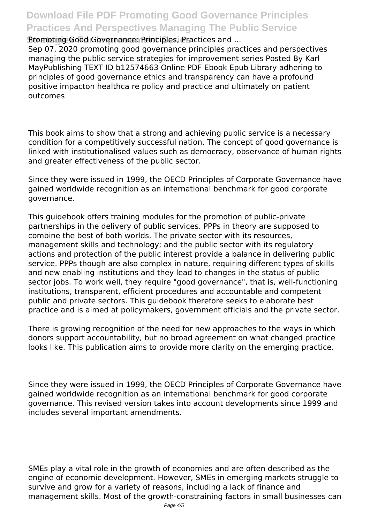**Strategies For Improvement Series** Promoting Good Governance: Principles, Practices and ...

Sep 07, 2020 promoting good governance principles practices and perspectives managing the public service strategies for improvement series Posted By Karl MayPublishing TEXT ID b12574663 Online PDF Ebook Epub Library adhering to principles of good governance ethics and transparency can have a profound positive impacton healthca re policy and practice and ultimately on patient outcomes

This book aims to show that a strong and achieving public service is a necessary condition for a competitively successful nation. The concept of good governance is linked with institutionalised values such as democracy, observance of human rights and greater effectiveness of the public sector.

Since they were issued in 1999, the OECD Principles of Corporate Governance have gained worldwide recognition as an international benchmark for good corporate governance.

This guidebook offers training modules for the promotion of public-private partnerships in the delivery of public services. PPPs in theory are supposed to combine the best of both worlds. The private sector with its resources, management skills and technology; and the public sector with its regulatory actions and protection of the public interest provide a balance in delivering public service. PPPs though are also complex in nature, requiring different types of skills and new enabling institutions and they lead to changes in the status of public sector jobs. To work well, they require "good governance", that is, well-functioning institutions, transparent, efficient procedures and accountable and competent public and private sectors. This guidebook therefore seeks to elaborate best practice and is aimed at policymakers, government officials and the private sector.

There is growing recognition of the need for new approaches to the ways in which donors support accountability, but no broad agreement on what changed practice looks like. This publication aims to provide more clarity on the emerging practice.

Since they were issued in 1999, the OECD Principles of Corporate Governance have gained worldwide recognition as an international benchmark for good corporate governance. This revised version takes into account developments since 1999 and includes several important amendments.

SMEs play a vital role in the growth of economies and are often described as the engine of economic development. However, SMEs in emerging markets struggle to survive and grow for a variety of reasons, including a lack of finance and management skills. Most of the growth-constraining factors in small businesses can